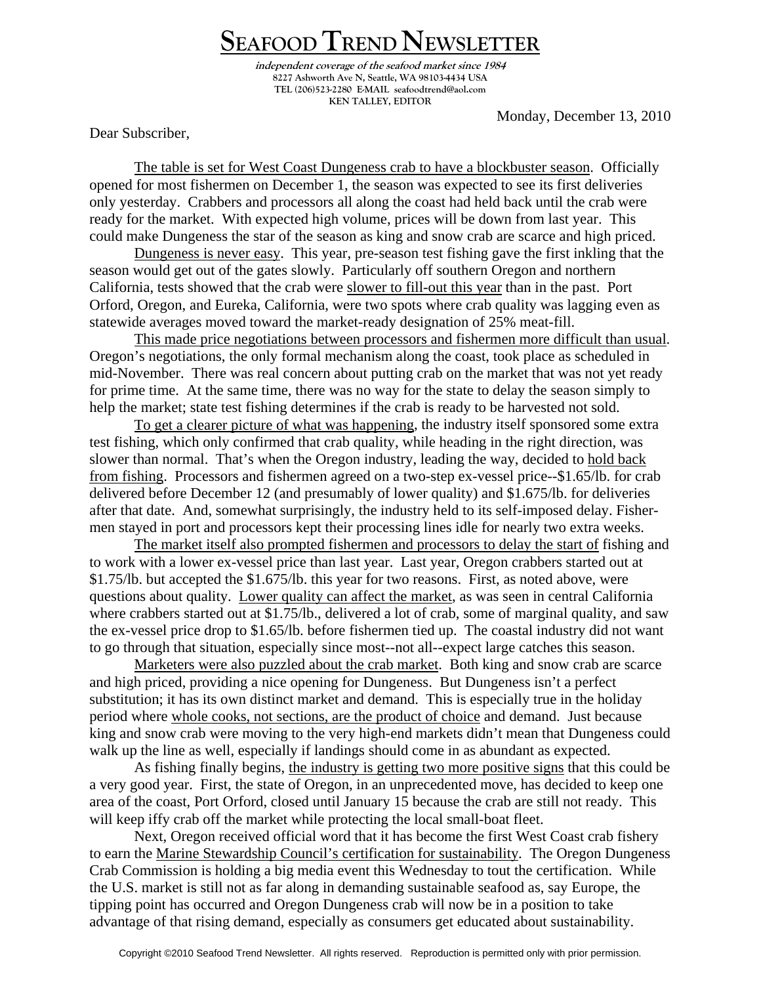## **SEAFOOD TREND NEWSLETTER**

**independent coverage of the seafood market since 1984 8227 Ashworth Ave N, Seattle, WA 98103-4434 USA TEL (206)523-2280 E-MAIL seafoodtrend@aol.com KEN TALLEY, EDITOR** 

Monday, December 13, 2010

Dear Subscriber,

The table is set for West Coast Dungeness crab to have a blockbuster season. Officially opened for most fishermen on December 1, the season was expected to see its first deliveries only yesterday. Crabbers and processors all along the coast had held back until the crab were ready for the market. With expected high volume, prices will be down from last year. This could make Dungeness the star of the season as king and snow crab are scarce and high priced.

Dungeness is never easy. This year, pre-season test fishing gave the first inkling that the season would get out of the gates slowly. Particularly off southern Oregon and northern California, tests showed that the crab were slower to fill-out this year than in the past. Port Orford, Oregon, and Eureka, California, were two spots where crab quality was lagging even as statewide averages moved toward the market-ready designation of 25% meat-fill.

This made price negotiations between processors and fishermen more difficult than usual. Oregon's negotiations, the only formal mechanism along the coast, took place as scheduled in mid-November. There was real concern about putting crab on the market that was not yet ready for prime time. At the same time, there was no way for the state to delay the season simply to help the market; state test fishing determines if the crab is ready to be harvested not sold.

To get a clearer picture of what was happening, the industry itself sponsored some extra test fishing, which only confirmed that crab quality, while heading in the right direction, was slower than normal. That's when the Oregon industry, leading the way, decided to hold back from fishing. Processors and fishermen agreed on a two-step ex-vessel price--\$1.65/lb. for crab delivered before December 12 (and presumably of lower quality) and \$1.675/lb. for deliveries after that date. And, somewhat surprisingly, the industry held to its self-imposed delay. Fishermen stayed in port and processors kept their processing lines idle for nearly two extra weeks.

The market itself also prompted fishermen and processors to delay the start of fishing and to work with a lower ex-vessel price than last year. Last year, Oregon crabbers started out at \$1.75/lb. but accepted the \$1.675/lb. this year for two reasons. First, as noted above, were questions about quality. Lower quality can affect the market, as was seen in central California where crabbers started out at \$1.75/lb., delivered a lot of crab, some of marginal quality, and saw the ex-vessel price drop to \$1.65/lb. before fishermen tied up. The coastal industry did not want to go through that situation, especially since most--not all--expect large catches this season.

Marketers were also puzzled about the crab market. Both king and snow crab are scarce and high priced, providing a nice opening for Dungeness. But Dungeness isn't a perfect substitution; it has its own distinct market and demand. This is especially true in the holiday period where whole cooks, not sections, are the product of choice and demand. Just because king and snow crab were moving to the very high-end markets didn't mean that Dungeness could walk up the line as well, especially if landings should come in as abundant as expected.

 As fishing finally begins, the industry is getting two more positive signs that this could be a very good year. First, the state of Oregon, in an unprecedented move, has decided to keep one area of the coast, Port Orford, closed until January 15 because the crab are still not ready. This will keep iffy crab off the market while protecting the local small-boat fleet.

 Next, Oregon received official word that it has become the first West Coast crab fishery to earn the Marine Stewardship Council's certification for sustainability. The Oregon Dungeness Crab Commission is holding a big media event this Wednesday to tout the certification. While the U.S. market is still not as far along in demanding sustainable seafood as, say Europe, the tipping point has occurred and Oregon Dungeness crab will now be in a position to take advantage of that rising demand, especially as consumers get educated about sustainability.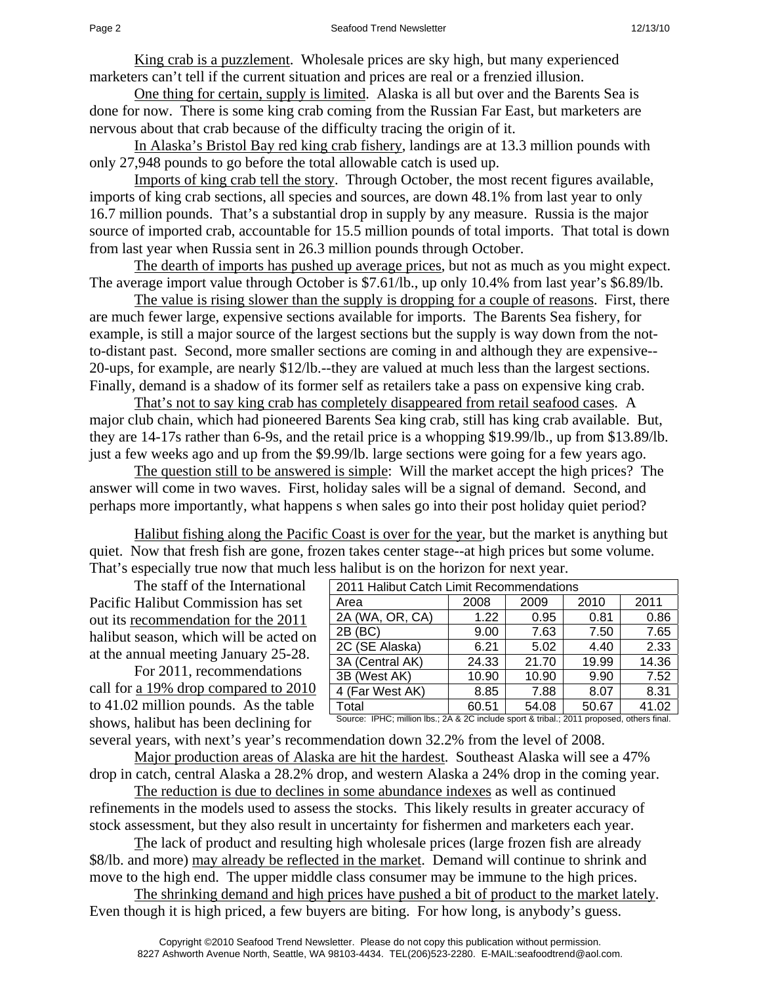King crab is a puzzlement. Wholesale prices are sky high, but many experienced marketers can't tell if the current situation and prices are real or a frenzied illusion.

One thing for certain, supply is limited. Alaska is all but over and the Barents Sea is done for now. There is some king crab coming from the Russian Far East, but marketers are nervous about that crab because of the difficulty tracing the origin of it.

In Alaska's Bristol Bay red king crab fishery, landings are at 13.3 million pounds with only 27,948 pounds to go before the total allowable catch is used up.

Imports of king crab tell the story. Through October, the most recent figures available, imports of king crab sections, all species and sources, are down 48.1% from last year to only 16.7 million pounds. That's a substantial drop in supply by any measure. Russia is the major source of imported crab, accountable for 15.5 million pounds of total imports. That total is down from last year when Russia sent in 26.3 million pounds through October.

The dearth of imports has pushed up average prices, but not as much as you might expect. The average import value through October is \$7.61/lb., up only 10.4% from last year's \$6.89/lb.

The value is rising slower than the supply is dropping for a couple of reasons. First, there are much fewer large, expensive sections available for imports. The Barents Sea fishery, for example, is still a major source of the largest sections but the supply is way down from the notto-distant past. Second, more smaller sections are coming in and although they are expensive-- 20-ups, for example, are nearly \$12/lb.--they are valued at much less than the largest sections. Finally, demand is a shadow of its former self as retailers take a pass on expensive king crab.

That's not to say king crab has completely disappeared from retail seafood cases. A major club chain, which had pioneered Barents Sea king crab, still has king crab available. But, they are 14-17s rather than 6-9s, and the retail price is a whopping \$19.99/lb., up from \$13.89/lb. just a few weeks ago and up from the \$9.99/lb. large sections were going for a few years ago.

The question still to be answered is simple: Will the market accept the high prices? The answer will come in two waves. First, holiday sales will be a signal of demand. Second, and perhaps more importantly, what happens s when sales go into their post holiday quiet period?

Halibut fishing along the Pacific Coast is over for the year, but the market is anything but quiet. Now that fresh fish are gone, frozen takes center stage--at high prices but some volume. That's especially true now that much less halibut is on the horizon for next year.

 The staff of the International Pacific Halibut Commission has set out its recommendation for the 2011 halibut season, which will be acted on at the annual meeting January 25-28.

 For 2011, recommendations call for a 19% drop compared to 2010 to 41.02 million pounds. As the table shows, halibut has been declining for

| 2011 Halibut Catch Limit Recommendations |       |       |       |       |  |
|------------------------------------------|-------|-------|-------|-------|--|
| Area                                     | 2008  | 2009  | 2010  | 2011  |  |
| 2A (WA, OR, CA)                          | 1.22  | 0.95  | 0.81  | 0.86  |  |
| 2B (BC)                                  | 9.00  | 7.63  | 7.50  | 7.65  |  |
| 2C (SE Alaska)                           | 6.21  | 5.02  | 4.40  | 2.33  |  |
| 3A (Central AK)                          | 24.33 | 21.70 | 19.99 | 14.36 |  |
| 3B (West AK)                             | 10.90 | 10.90 | 9.90  | 7.52  |  |
| 4 (Far West AK)                          | 8.85  | 7.88  | 8.07  | 8.31  |  |
| Total                                    | 60.51 | 54.08 | 50.67 | 41.02 |  |

Source: IPHC; million lbs.; 2A & 2C include sport & tribal.; 2011 proposed, others final.

several years, with next's year's recommendation down 32.2% from the level of 2008.

Major production areas of Alaska are hit the hardest. Southeast Alaska will see a 47% drop in catch, central Alaska a 28.2% drop, and western Alaska a 24% drop in the coming year.

The reduction is due to declines in some abundance indexes as well as continued refinements in the models used to assess the stocks. This likely results in greater accuracy of stock assessment, but they also result in uncertainty for fishermen and marketers each year.

The lack of product and resulting high wholesale prices (large frozen fish are already \$8/lb. and more) may already be reflected in the market. Demand will continue to shrink and move to the high end. The upper middle class consumer may be immune to the high prices.

The shrinking demand and high prices have pushed a bit of product to the market lately. Even though it is high priced, a few buyers are biting. For how long, is anybody's guess.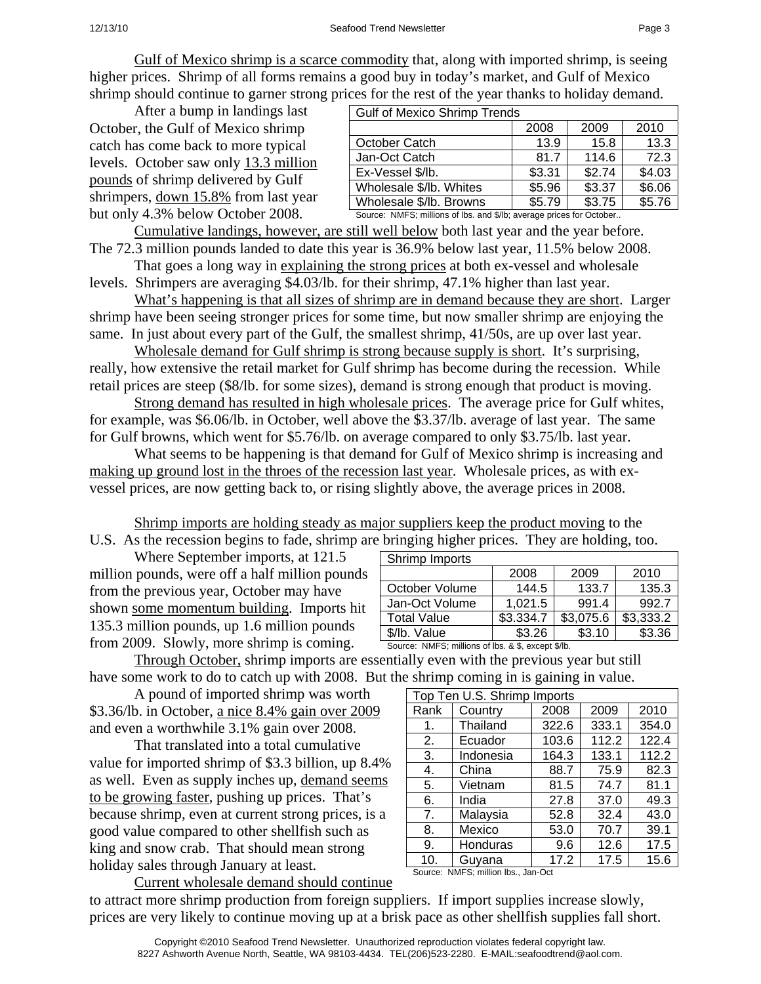Gulf of Mexico shrimp is a scarce commodity that, along with imported shrimp, is seeing higher prices. Shrimp of all forms remains a good buy in today's market, and Gulf of Mexico shrimp should continue to garner strong prices for the rest of the year thanks to holiday demand.

 After a bump in landings last October, the Gulf of Mexico shrimp catch has come back to more typical levels. October saw only 13.3 million pounds of shrimp delivered by Gulf shrimpers, down 15.8% from last year but only 4.3% below October 2008.

| <b>Gulf of Mexico Shrimp Trends</b> |        |        |        |  |
|-------------------------------------|--------|--------|--------|--|
|                                     | 2008   | 2009   | 2010   |  |
| October Catch                       | 13.9   | 15.8   | 13.3   |  |
| Jan-Oct Catch                       | 81.7   | 114.6  | 72.3   |  |
| Ex-Vessel \$/lb.                    | \$3.31 | \$2.74 | \$4.03 |  |
| Wholesale \$/lb. Whites             | \$5.96 | \$3.37 | \$6.06 |  |
| Wholesale \$/lb. Browns             | \$5.79 | \$3.75 | \$5.76 |  |

Source: NMFS; millions of lbs. and \$/lb; average prices for October..

Cumulative landings, however, are still well below both last year and the year before. The 72.3 million pounds landed to date this year is 36.9% below last year, 11.5% below 2008.

 That goes a long way in explaining the strong prices at both ex-vessel and wholesale levels. Shrimpers are averaging \$4.03/lb. for their shrimp, 47.1% higher than last year.

What's happening is that all sizes of shrimp are in demand because they are short. Larger shrimp have been seeing stronger prices for some time, but now smaller shrimp are enjoying the same. In just about every part of the Gulf, the smallest shrimp, 41/50s, are up over last year.

Wholesale demand for Gulf shrimp is strong because supply is short. It's surprising, really, how extensive the retail market for Gulf shrimp has become during the recession. While retail prices are steep (\$8/lb. for some sizes), demand is strong enough that product is moving.

Strong demand has resulted in high wholesale prices. The average price for Gulf whites, for example, was \$6.06/lb. in October, well above the \$3.37/lb. average of last year. The same for Gulf browns, which went for \$5.76/lb. on average compared to only \$3.75/lb. last year.

 What seems to be happening is that demand for Gulf of Mexico shrimp is increasing and making up ground lost in the throes of the recession last year. Wholesale prices, as with exvessel prices, are now getting back to, or rising slightly above, the average prices in 2008.

Shrimp imports are holding steady as major suppliers keep the product moving to the

Shrimp Imports

U.S. As the recession begins to fade, shrimp are bringing higher prices. They are holding, too.

 Where September imports, at 121.5 million pounds, were off a half million pounds from the previous year, October may have shown some momentum building. Imports hit 135.3 million pounds, up 1.6 million pounds from 2009. Slowly, more shrimp is coming.

Through October, shrimp imports are essentially even with the previous year but still \$/lb. Value  $\frac{1}{3.26}$  \$3.26 \$3.10 \$3.36 Source: NMFS; millions of lbs. & \$, except \$/lb.

have some work to do to catch up with 2008. But the shrimp coming in is gaining in value. A pound of imported shrimp was worth \$3.36/lb. in October, a nice 8.4% gain over 2009 and even a worthwhile 3.1% gain over 2008.

 That translated into a total cumulative value for imported shrimp of \$3.3 billion, up 8.4% as well. Even as supply inches up, demand seems to be growing faster, pushing up prices. That's because shrimp, even at current strong prices, is a good value compared to other shellfish such as king and snow crab. That should mean strong holiday sales through January at least.

| Top Ten U.S. Shrimp Imports |           |       |       |       |  |
|-----------------------------|-----------|-------|-------|-------|--|
| Rank                        | Country   | 2008  | 2009  | 2010  |  |
| 1.                          | Thailand  | 322.6 | 333.1 | 354.0 |  |
| 2.                          | Ecuador   | 103.6 | 112.2 | 122.4 |  |
| 3.                          | Indonesia | 164.3 | 133.1 | 112.2 |  |
| 4.                          | China     | 88.7  | 75.9  | 82.3  |  |
| 5.                          | Vietnam   | 81.5  | 74.7  | 81.1  |  |
| 6.                          | India     | 27.8  | 37.0  | 49.3  |  |
| 7.                          | Malaysia  | 52.8  | 32.4  | 43.0  |  |
| 8.                          | Mexico    | 53.0  | 70.7  | 39.1  |  |
| 9.                          | Honduras  | 9.6   | 12.6  | 17.5  |  |
| 10.                         | Guyana    | 17.2  | 17.5  | 15.6  |  |

October Volume | 144.5 | 133.7 | 135.3<br>Jan-Oct Volume | 1.021.5 | 991.4 | 992.7 Jan-Oct Volume 1 1.021.5 991.4 992.7 Total Value  $\left| \frac{183.334.7}{183.075.6} \right| \frac{183.333.2}{2}$ 

2008 2009 2010

Source: NMFS; million lbs., Jan-Oct

Current wholesale demand should continue to attract more shrimp production from foreign suppliers. If import supplies increase slowly, prices are very likely to continue moving up at a brisk pace as other shellfish supplies fall short.